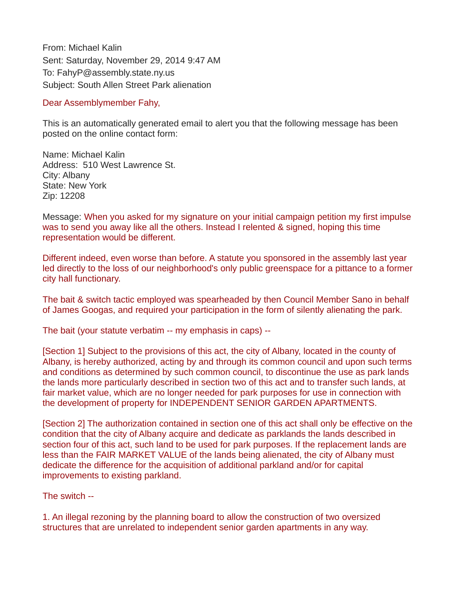From: Michael Kalin Sent: Saturday, November 29, 2014 9:47 AM To: FahyP@assembly.state.ny.us Subject: South Allen Street Park alienation

## Dear Assemblymember Fahy,

This is an automatically generated email to alert you that the following message has been posted on the online contact form:

Name: Michael Kalin Address: 510 West Lawrence St. City: Albany State: New York Zip: 12208

Message: When you asked for my signature on your initial campaign petition my first impulse was to send you away like all the others. Instead I relented & signed, hoping this time representation would be different.

Different indeed, even worse than before. A statute you sponsored in the assembly last year led directly to the loss of our neighborhood's only public greenspace for a pittance to a former city hall functionary.

The bait & switch tactic employed was spearheaded by then Council Member Sano in behalf of James Googas, and required your participation in the form of silently alienating the park.

The bait (your statute verbatim -- my emphasis in caps) --

[Section 1] Subject to the provisions of this act, the city of Albany, located in the county of Albany, is hereby authorized, acting by and through its common council and upon such terms and conditions as determined by such common council, to discontinue the use as park lands the lands more particularly described in section two of this act and to transfer such lands, at fair market value, which are no longer needed for park purposes for use in connection with the development of property for INDEPENDENT SENIOR GARDEN APARTMENTS.

[Section 2] The authorization contained in section one of this act shall only be effective on the condition that the city of Albany acquire and dedicate as parklands the lands described in section four of this act, such land to be used for park purposes. If the replacement lands are less than the FAIR MARKET VALUE of the lands being alienated, the city of Albany must dedicate the difference for the acquisition of additional parkland and/or for capital improvements to existing parkland.

The switch --

1. An illegal rezoning by the planning board to allow the construction of two oversized structures that are unrelated to independent senior garden apartments in any way.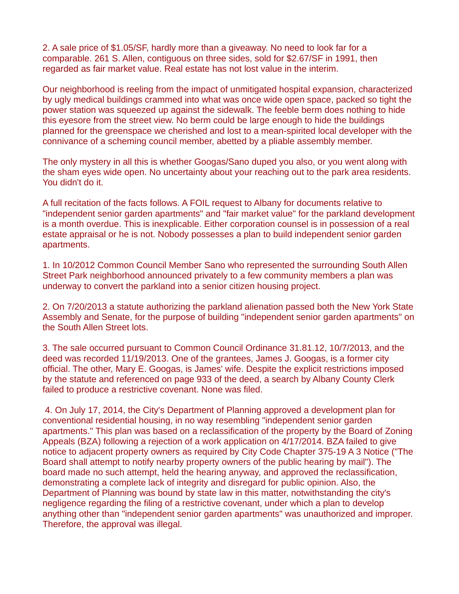2. A sale price of \$1.05/SF, hardly more than a giveaway. No need to look far for a comparable. 261 S. Allen, contiguous on three sides, sold for \$2.67/SF in 1991, then regarded as fair market value. Real estate has not lost value in the interim.

Our neighborhood is reeling from the impact of unmitigated hospital expansion, characterized by ugly medical buildings crammed into what was once wide open space, packed so tight the power station was squeezed up against the sidewalk. The feeble berm does nothing to hide this eyesore from the street view. No berm could be large enough to hide the buildings planned for the greenspace we cherished and lost to a mean-spirited local developer with the connivance of a scheming council member, abetted by a pliable assembly member.

The only mystery in all this is whether Googas/Sano duped you also, or you went along with the sham eyes wide open. No uncertainty about your reaching out to the park area residents. You didn't do it.

A full recitation of the facts follows. A FOIL request to Albany for documents relative to "independent senior garden apartments" and "fair market value" for the parkland development is a month overdue. This is inexplicable. Either corporation counsel is in possession of a real estate appraisal or he is not. Nobody possesses a plan to build independent senior garden apartments.

1. In 10/2012 Common Council Member Sano who represented the surrounding South Allen Street Park neighborhood announced privately to a few community members a plan was underway to convert the parkland into a senior citizen housing project.

2. On 7/20/2013 a statute authorizing the parkland alienation passed both the New York State Assembly and Senate, for the purpose of building "independent senior garden apartments" on the South Allen Street lots.

3. The sale occurred pursuant to Common Council Ordinance 31.81.12, 10/7/2013, and the deed was recorded 11/19/2013. One of the grantees, James J. Googas, is a former city official. The other, Mary E. Googas, is James' wife. Despite the explicit restrictions imposed by the statute and referenced on page 933 of the deed, a search by Albany County Clerk failed to produce a restrictive covenant. None was filed.

 4. On July 17, 2014, the City's Department of Planning approved a development plan for conventional residential housing, in no way resembling "independent senior garden apartments." This plan was based on a reclassification of the property by the Board of Zoning Appeals (BZA) following a rejection of a work application on 4/17/2014. BZA failed to give notice to adjacent property owners as required by City Code Chapter 375-19 A 3 Notice ("The Board shall attempt to notify nearby property owners of the public hearing by mail"). The board made no such attempt, held the hearing anyway, and approved the reclassification, demonstrating a complete lack of integrity and disregard for public opinion. Also, the Department of Planning was bound by state law in this matter, notwithstanding the city's negligence regarding the filing of a restrictive covenant, under which a plan to develop anything other than "independent senior garden apartments" was unauthorized and improper. Therefore, the approval was illegal.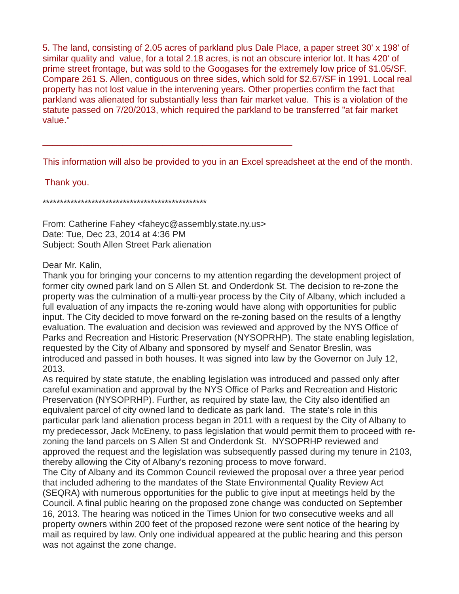5. The land, consisting of 2.05 acres of parkland plus Dale Place, a paper street 30' x 198' of similar quality and value, for a total 2.18 acres, is not an obscure interior lot. It has 420' of prime street frontage, but was sold to the Googases for the extremely low price of \$1.05/SF. Compare 261 S. Allen, contiguous on three sides, which sold for \$2.67/SF in 1991. Local real property has not lost value in the intervening years. Other properties confirm the fact that parkland was alienated for substantially less than fair market value. This is a violation of the statute passed on 7/20/2013, which required the parkland to be transferred "at fair market value."

This information will also be provided to you in an Excel spreadsheet at the end of the month.

Thank you.

\*\*\*\*\*\*\*\*\*\*\*\*\*\*\*\*\*\*\*\*\*\*\*\*\*\*\*\*\*\*\*\*\*\*\*\*\*\*\*\*\*\*\*\*\*\*\*

From: Catherine Fahey <faheyc@assembly.state.ny.us> Date: Tue, Dec 23, 2014 at 4:36 PM Subject: South Allen Street Park alienation

 $\mathcal{L}_\text{max}$  , and the contract of the contract of the contract of the contract of the contract of the contract of the contract of the contract of the contract of the contract of the contract of the contract of the contr

## Dear Mr. Kalin,

Thank you for bringing your concerns to my attention regarding the development project of former city owned park land on S Allen St. and Onderdonk St. The decision to re-zone the property was the culmination of a multi-year process by the City of Albany, which included a full evaluation of any impacts the re-zoning would have along with opportunities for public input. The City decided to move forward on the re-zoning based on the results of a lengthy evaluation. The evaluation and decision was reviewed and approved by the NYS Office of Parks and Recreation and Historic Preservation (NYSOPRHP). The state enabling legislation, requested by the City of Albany and sponsored by myself and Senator Breslin, was introduced and passed in both houses. It was signed into law by the Governor on July 12, 2013.

As required by state statute, the enabling legislation was introduced and passed only after careful examination and approval by the NYS Office of Parks and Recreation and Historic Preservation (NYSOPRHP). Further, as required by state law, the City also identified an equivalent parcel of city owned land to dedicate as park land. The state's role in this particular park land alienation process began in 2011 with a request by the City of Albany to my predecessor, Jack McEneny, to pass legislation that would permit them to proceed with rezoning the land parcels on S Allen St and Onderdonk St. NYSOPRHP reviewed and approved the request and the legislation was subsequently passed during my tenure in 2103, thereby allowing the City of Albany's rezoning process to move forward.

The City of Albany and its Common Council reviewed the proposal over a three year period that included adhering to the mandates of the State Environmental Quality Review Act (SEQRA) with numerous opportunities for the public to give input at meetings held by the Council. A final public hearing on the proposed zone change was conducted on September 16, 2013. The hearing was noticed in the Times Union for two consecutive weeks and all property owners within 200 feet of the proposed rezone were sent notice of the hearing by mail as required by law. Only one individual appeared at the public hearing and this person was not against the zone change.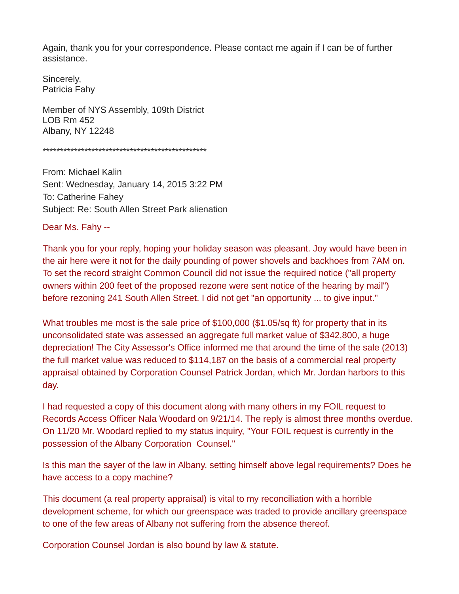Again, thank you for your correspondence. Please contact me again if I can be of further assistance.

Sincerely, Patricia Fahy

Member of NYS Assembly, 109th District LOB Rm 452 Albany, NY 12248

\*\*\*\*\*\*\*\*\*\*\*\*\*\*\*\*\*\*\*\*\*\*\*\*\*\*\*\*\*\*\*\*\*\*\*\*\*\*\*\*\*\*\*\*\*\*\*

From: Michael Kalin Sent: Wednesday, January 14, 2015 3:22 PM To: Catherine Fahey Subject: Re: South Allen Street Park alienation

Dear Ms. Fahy --

Thank you for your reply, hoping your holiday season was pleasant. Joy would have been in the air here were it not for the daily pounding of power shovels and backhoes from 7AM on. To set the record straight Common Council did not issue the required notice ("all property owners within 200 feet of the proposed rezone were sent notice of the hearing by mail") before rezoning 241 South Allen Street. I did not get "an opportunity ... to give input."

What troubles me most is the sale price of \$100,000 (\$1.05/sq ft) for property that in its unconsolidated state was assessed an aggregate full market value of \$342,800, a huge depreciation! The City Assessor's Office informed me that around the time of the sale (2013) the full market value was reduced to \$114,187 on the basis of a commercial real property appraisal obtained by Corporation Counsel Patrick Jordan, which Mr. Jordan harbors to this day.

I had requested a copy of this document along with many others in my FOIL request to Records Access Officer Nala Woodard on 9/21/14. The reply is almost three months overdue. On 11/20 Mr. Woodard replied to my status inquiry, "Your FOIL request is currently in the possession of the Albany Corporation Counsel."

Is this man the sayer of the law in Albany, setting himself above legal requirements? Does he have access to a copy machine?

This document (a real property appraisal) is vital to my reconciliation with a horrible development scheme, for which our greenspace was traded to provide ancillary greenspace to one of the few areas of Albany not suffering from the absence thereof.

Corporation Counsel Jordan is also bound by law & statute.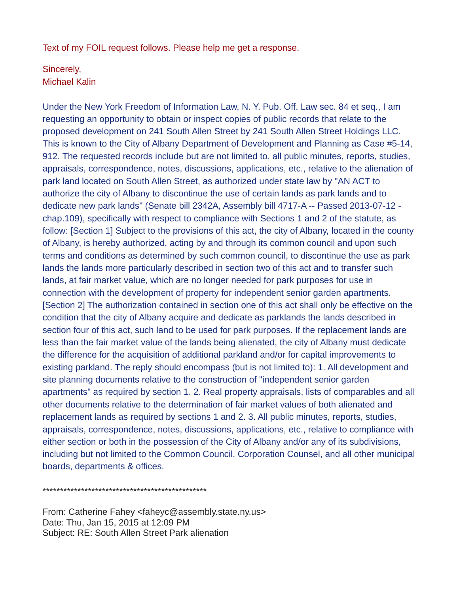Text of my FOIL request follows. Please help me get a response.

## Sincerely, Michael Kalin

Under the New York Freedom of Information Law, N. Y. Pub. Off. Law sec. 84 et seq., I am requesting an opportunity to obtain or inspect copies of public records that relate to the proposed development on 241 South Allen Street by 241 South Allen Street Holdings LLC. This is known to the City of Albany Department of Development and Planning as Case #5-14, 912. The requested records include but are not limited to, all public minutes, reports, studies, appraisals, correspondence, notes, discussions, applications, etc., relative to the alienation of park land located on South Allen Street, as authorized under state law by "AN ACT to authorize the city of Albany to discontinue the use of certain lands as park lands and to dedicate new park lands" (Senate bill 2342A, Assembly bill 4717-A -- Passed 2013-07-12 chap.109), specifically with respect to compliance with Sections 1 and 2 of the statute, as follow: [Section 1] Subject to the provisions of this act, the city of Albany, located in the county of Albany, is hereby authorized, acting by and through its common council and upon such terms and conditions as determined by such common council, to discontinue the use as park lands the lands more particularly described in section two of this act and to transfer such lands, at fair market value, which are no longer needed for park purposes for use in connection with the development of property for independent senior garden apartments. [Section 2] The authorization contained in section one of this act shall only be effective on the condition that the city of Albany acquire and dedicate as parklands the lands described in section four of this act, such land to be used for park purposes. If the replacement lands are less than the fair market value of the lands being alienated, the city of Albany must dedicate the difference for the acquisition of additional parkland and/or for capital improvements to existing parkland. The reply should encompass (but is not limited to): 1. All development and site planning documents relative to the construction of "independent senior garden apartments" as required by section 1. 2. Real property appraisals, lists of comparables and all other documents relative to the determination of fair market values of both alienated and replacement lands as required by sections 1 and 2. 3. All public minutes, reports, studies, appraisals, correspondence, notes, discussions, applications, etc., relative to compliance with either section or both in the possession of the City of Albany and/or any of its subdivisions, including but not limited to the Common Council, Corporation Counsel, and all other municipal boards, departments & offices.

\*\*\*\*\*\*\*\*\*\*\*\*\*\*\*\*\*\*\*\*\*\*\*\*\*\*\*\*\*\*\*\*\*\*\*\*\*\*\*\*\*\*\*\*\*\*\*

From: Catherine Fahey <faheyc@assembly.state.ny.us> Date: Thu, Jan 15, 2015 at 12:09 PM Subject: RE: South Allen Street Park alienation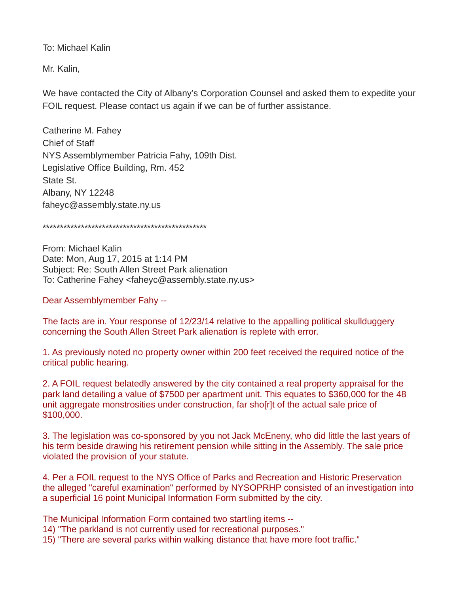To: Michael Kalin

Mr. Kalin,

We have contacted the City of Albany's Corporation Counsel and asked them to expedite your FOIL request. Please contact us again if we can be of further assistance.

Catherine M. Fahey Chief of Staff NYS Assemblymember Patricia Fahy, 109th Dist. Legislative Office Building, Rm. 452 State St. Albany, NY 12248 [faheyc@assembly.state.ny.us](mailto:faheyc@assembly.state.ny.us)

\*\*\*\*\*\*\*\*\*\*\*\*\*\*\*\*\*\*\*\*\*\*\*\*\*\*\*\*\*\*\*\*\*\*\*\*\*\*\*\*\*\*\*\*\*\*\*

From: Michael Kalin Date: Mon, Aug 17, 2015 at 1:14 PM Subject: Re: South Allen Street Park alienation To: Catherine Fahey <faheyc@assembly.state.ny.us>

Dear Assemblymember Fahy --

The facts are in. Your response of 12/23/14 relative to the appalling political skullduggery concerning the South Allen Street Park alienation is replete with error.

1. As previously noted no property owner within 200 feet received the required notice of the critical public hearing.

2. A FOIL request belatedly answered by the city contained a real property appraisal for the park land detailing a value of \$7500 per apartment unit. This equates to \$360,000 for the 48 unit aggregate monstrosities under construction, far sho[r]t of the actual sale price of \$100,000.

3. The legislation was co-sponsored by you not Jack McEneny, who did little the last years of his term beside drawing his retirement pension while sitting in the Assembly. The sale price violated the provision of your statute.

4. Per a FOIL request to the NYS Office of Parks and Recreation and Historic Preservation the alleged "careful examination" performed by NYSOPRHP consisted of an investigation into a superficial 16 point Municipal Information Form submitted by the city.

The Municipal Information Form contained two startling items --

14) "The parkland is not currently used for recreational purposes."

15) "There are several parks within walking distance that have more foot traffic."